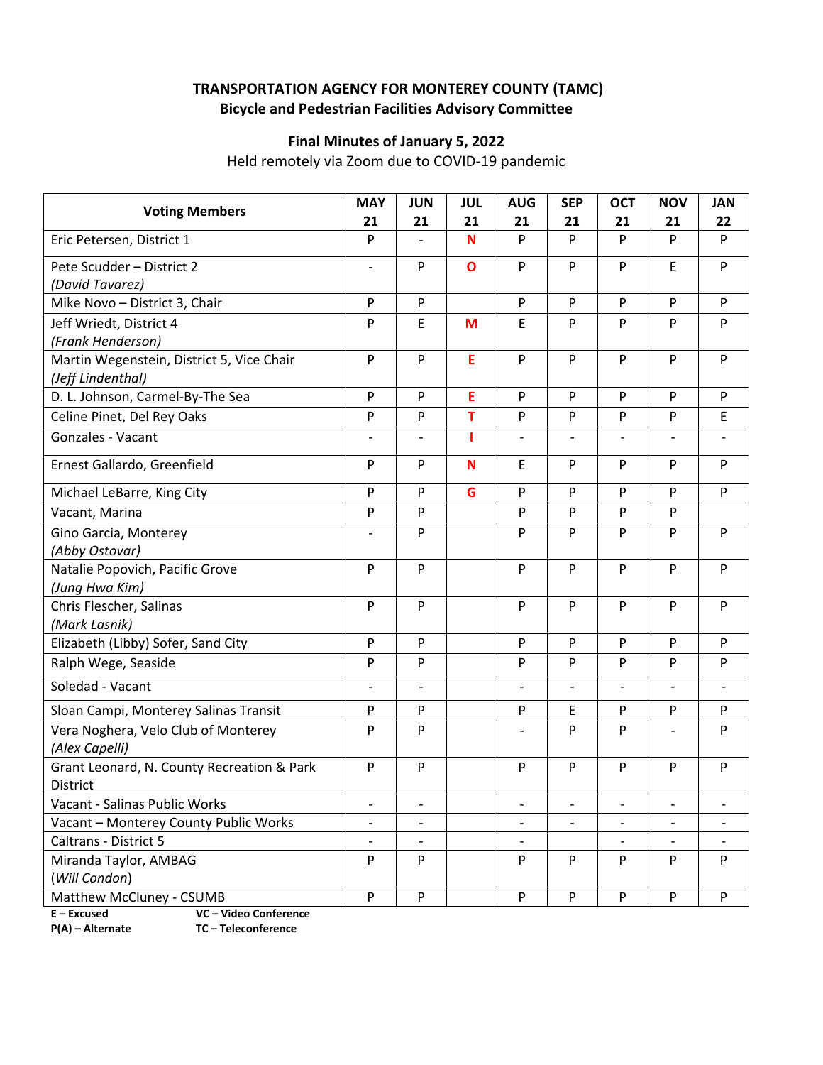## **TRANSPORTATION AGENCY FOR MONTEREY COUNTY (TAMC) Bicycle and Pedestrian Facilities Advisory Committee**

## **Final Minutes of January 5, 2022**

Held remotely via Zoom due to COVID‐19 pandemic

| <b>Voting Members</b>                                                           | <b>MAY</b>               | <b>JUN</b>                     | JUL          | <b>AUG</b>                   | <b>SEP</b>               | <b>OCT</b>               | <b>NOV</b>               | <b>JAN</b><br>22         |
|---------------------------------------------------------------------------------|--------------------------|--------------------------------|--------------|------------------------------|--------------------------|--------------------------|--------------------------|--------------------------|
| Eric Petersen, District 1                                                       | 21<br>P                  | 21<br>$\overline{\phantom{0}}$ | 21<br>N      | 21<br>P                      | 21<br>P                  | 21<br>P                  | 21<br>P                  | P                        |
| Pete Scudder - District 2                                                       |                          | P                              |              |                              | P                        | P                        |                          | P                        |
| (David Tavarez)                                                                 | $\overline{\phantom{a}}$ |                                | $\mathbf{o}$ | P                            |                          |                          | E                        |                          |
| Mike Novo - District 3, Chair                                                   | P                        | P                              |              | P                            | P                        | ${\sf P}$                | P                        | P                        |
| Jeff Wriedt, District 4                                                         | P                        | E                              | M            | $\mathsf E$                  | P                        | P                        | P                        | P                        |
| (Frank Henderson)                                                               |                          |                                |              |                              |                          |                          |                          |                          |
| Martin Wegenstein, District 5, Vice Chair                                       | P                        | P                              | E            | P                            | P                        | P                        | P                        | P                        |
| (Jeff Lindenthal)                                                               |                          |                                |              |                              |                          |                          |                          |                          |
| D. L. Johnson, Carmel-By-The Sea                                                | P                        | P                              | E            | P                            | P                        | P                        | P                        | P                        |
| Celine Pinet, Del Rey Oaks                                                      | P                        | P                              | T            | P                            | P                        | P                        | P                        | E                        |
| Gonzales - Vacant                                                               | $\overline{a}$           | $\overline{\phantom{0}}$       | п            | $\overline{\phantom{a}}$     | $\overline{a}$           | $\overline{\phantom{a}}$ |                          |                          |
| Ernest Gallardo, Greenfield                                                     | P                        | P                              | N            | E                            | P                        | P                        | P                        | P                        |
| Michael LeBarre, King City                                                      | P                        | P                              | G            | P                            | P                        | P                        | P                        | P                        |
| Vacant, Marina                                                                  | P                        | P                              |              | P                            | P                        | P                        | P                        |                          |
| Gino Garcia, Monterey                                                           | $\overline{\phantom{a}}$ | P                              |              | P                            | P                        | P                        | P                        | P                        |
| (Abby Ostovar)                                                                  |                          |                                |              |                              |                          |                          |                          |                          |
| Natalie Popovich, Pacific Grove                                                 | P                        | P                              |              | P                            | P                        | P                        | P                        | P                        |
| (Jung Hwa Kim)                                                                  |                          |                                |              |                              |                          |                          |                          |                          |
| Chris Flescher, Salinas                                                         | P                        | P                              |              | P                            | P                        | P                        | P                        | P                        |
| (Mark Lasnik)                                                                   |                          |                                |              |                              |                          |                          |                          |                          |
| Elizabeth (Libby) Sofer, Sand City                                              | P                        | P                              |              | P                            | P                        | P                        | P                        | P                        |
| Ralph Wege, Seaside                                                             | P                        | P                              |              | P                            | P                        | P                        | P                        | P                        |
| Soledad - Vacant                                                                | $\overline{\phantom{a}}$ | $\overline{a}$                 |              | $\overline{\phantom{a}}$     | $\overline{\phantom{0}}$ | $\overline{\phantom{a}}$ | $\overline{\phantom{a}}$ | $\overline{\phantom{0}}$ |
| Sloan Campi, Monterey Salinas Transit                                           | P                        | P                              |              | P                            | E                        | P                        | P                        | P                        |
| Vera Noghera, Velo Club of Monterey<br>(Alex Capelli)                           | P                        | P                              |              |                              | P                        | P                        |                          | P                        |
| Grant Leonard, N. County Recreation & Park                                      | P                        | P                              |              | P                            | P                        | P                        | P                        | P                        |
| District                                                                        |                          |                                |              |                              |                          |                          |                          |                          |
| Vacant - Salinas Public Works                                                   | $\overline{\phantom{a}}$ | $\overline{\phantom{a}}$       |              | $\qquad \qquad \blacksquare$ | $\overline{\phantom{0}}$ | $\qquad \qquad -$        | $\overline{\phantom{a}}$ | $\overline{\phantom{0}}$ |
| Vacant - Monterey County Public Works                                           | $\overline{a}$           |                                |              |                              |                          |                          |                          |                          |
| <b>Caltrans - District 5</b>                                                    | $\overline{\phantom{a}}$ |                                |              | $\overline{\phantom{a}}$     |                          |                          | $\overline{\phantom{a}}$ |                          |
| Miranda Taylor, AMBAG                                                           | P                        | P                              |              | P                            | P                        | P                        | P                        | P                        |
| (Will Condon)                                                                   |                          |                                |              |                              |                          |                          |                          |                          |
| Matthew McCluney - CSUMB                                                        | P                        | P                              |              | P                            | P                        | P                        | P                        | P                        |
| $E - Excused$<br>VC - Video Conference<br>P(A) - Alternate<br>TC-Teleconference |                          |                                |              |                              |                          |                          |                          |                          |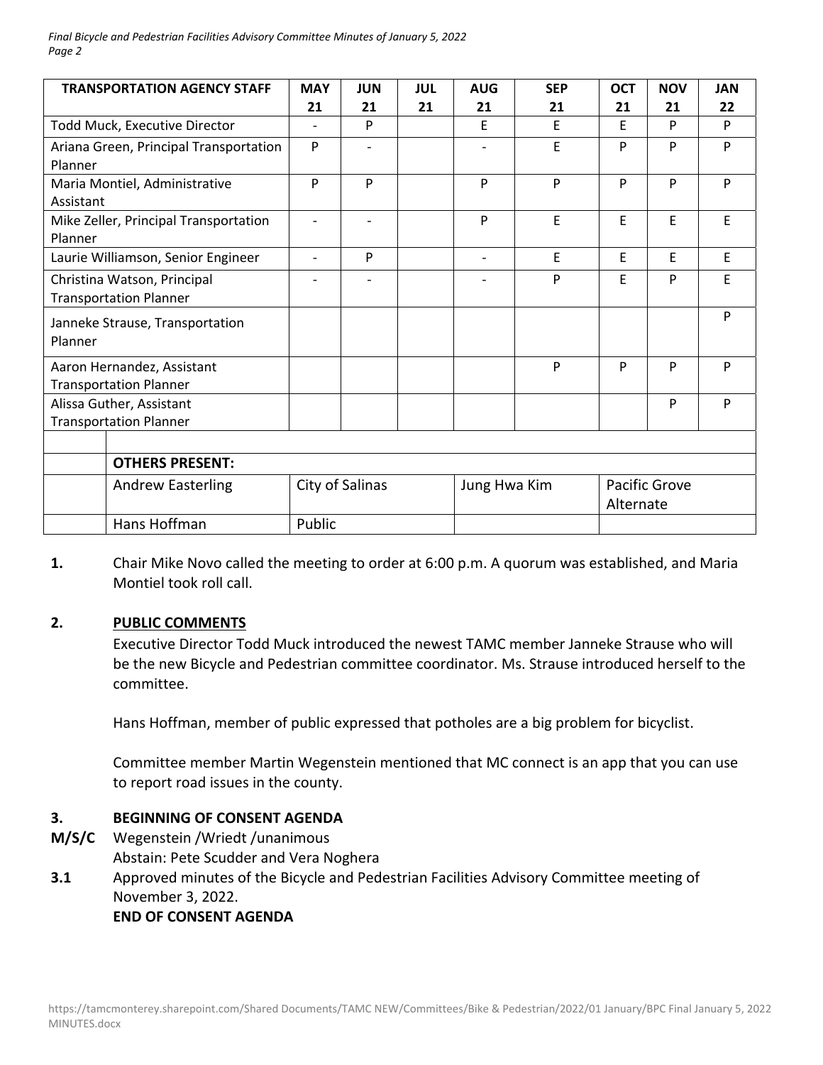| <b>TRANSPORTATION AGENCY STAFF</b>     | <b>MAY</b>               | <b>JUN</b>               | <b>JUL</b> | <b>AUG</b>               | <b>SEP</b> | <b>OCT</b>    | <b>NOV</b> | <b>JAN</b> |
|----------------------------------------|--------------------------|--------------------------|------------|--------------------------|------------|---------------|------------|------------|
|                                        | 21                       | 21                       | 21         | 21                       | 21         | 21            | 21         | 22         |
| Todd Muck, Executive Director          | $\overline{\phantom{0}}$ | P                        |            | E                        | E          | E             | P          | P          |
| Ariana Green, Principal Transportation | P                        |                          |            |                          | E          | P             | P          | P          |
| Planner                                |                          |                          |            |                          |            |               |            |            |
| Maria Montiel, Administrative          | P                        | P                        |            | P                        | P          | P             | P          | P          |
| Assistant                              |                          |                          |            |                          |            |               |            |            |
| Mike Zeller, Principal Transportation  | $\overline{\phantom{a}}$ | $\overline{\phantom{0}}$ |            | P                        | E          | E             | E          | E          |
| Planner                                |                          |                          |            |                          |            |               |            |            |
| Laurie Williamson, Senior Engineer     | $\overline{a}$           | P                        |            | $\overline{\phantom{0}}$ | E          | E             | E          | E          |
| Christina Watson, Principal            |                          |                          |            |                          | P          | F             | P          | E          |
| <b>Transportation Planner</b>          |                          |                          |            |                          |            |               |            |            |
| Janneke Strause, Transportation        |                          |                          |            |                          |            |               |            | P          |
| Planner                                |                          |                          |            |                          |            |               |            |            |
| Aaron Hernandez, Assistant             |                          |                          |            |                          | P          | P             | P          | P          |
| <b>Transportation Planner</b>          |                          |                          |            |                          |            |               |            |            |
| Alissa Guther, Assistant               |                          |                          |            |                          |            |               | P          | P          |
| <b>Transportation Planner</b>          |                          |                          |            |                          |            |               |            |            |
|                                        |                          |                          |            |                          |            |               |            |            |
| <b>OTHERS PRESENT:</b>                 |                          |                          |            |                          |            |               |            |            |
| <b>Andrew Easterling</b>               | City of Salinas          |                          |            | Jung Hwa Kim             |            | Pacific Grove |            |            |
|                                        |                          |                          |            |                          |            | Alternate     |            |            |
| Hans Hoffman                           | Public                   |                          |            |                          |            |               |            |            |

**1.**  Chair Mike Novo called the meeting to order at 6:00 p.m. A quorum was established, and Maria Montiel took roll call.

## **2. PUBLIC COMMENTS**

Executive Director Todd Muck introduced the newest TAMC member Janneke Strause who will be the new Bicycle and Pedestrian committee coordinator. Ms. Strause introduced herself to the committee.

Hans Hoffman, member of public expressed that potholes are a big problem for bicyclist.

Committee member Martin Wegenstein mentioned that MC connect is an app that you can use to report road issues in the county.

## **3. BEGINNING OF CONSENT AGENDA**

- **M/S/C**  Wegenstein /Wriedt /unanimous Abstain: Pete Scudder and Vera Noghera
- **3.1**  Approved minutes of the Bicycle and Pedestrian Facilities Advisory Committee meeting of November 3, 2022.

## **END OF CONSENT AGENDA**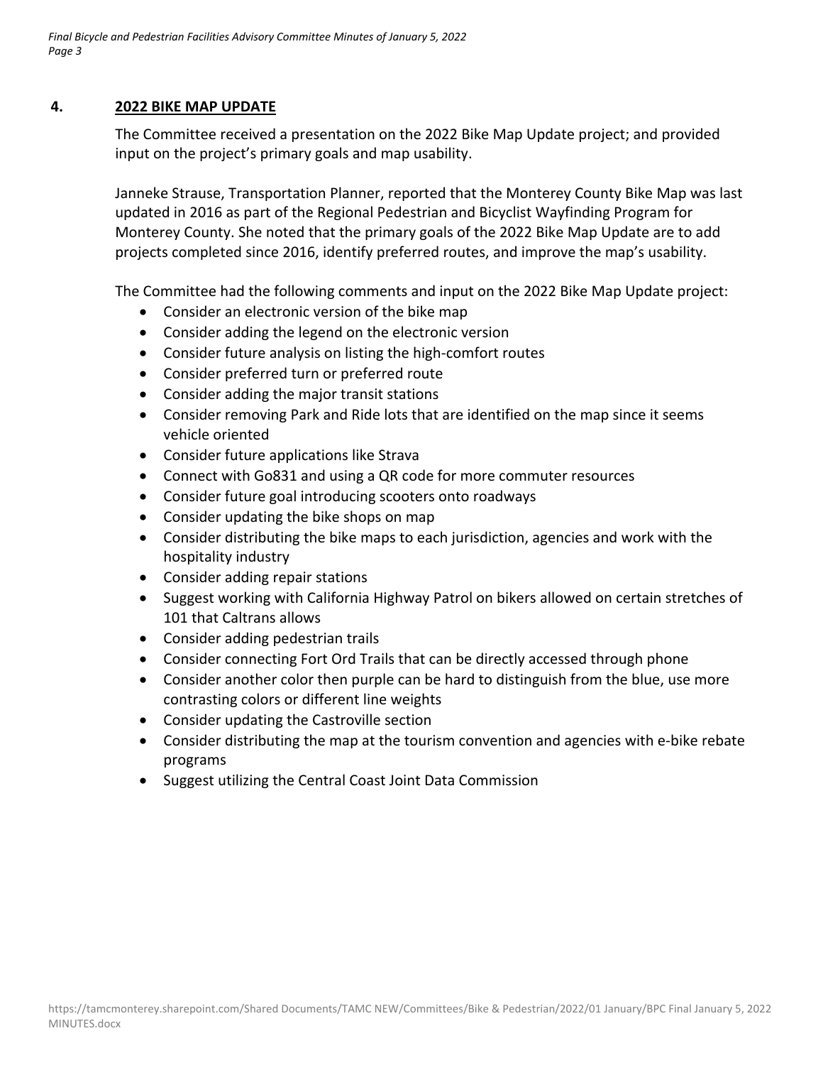## **4. 2022 BIKE MAP UPDATE**

The Committee received a presentation on the 2022 Bike Map Update project; and provided input on the project's primary goals and map usability.

Janneke Strause, Transportation Planner, reported that the Monterey County Bike Map was last updated in 2016 as part of the Regional Pedestrian and Bicyclist Wayfinding Program for Monterey County. She noted that the primary goals of the 2022 Bike Map Update are to add projects completed since 2016, identify preferred routes, and improve the map's usability.

The Committee had the following comments and input on the 2022 Bike Map Update project:

- Consider an electronic version of the bike map
- Consider adding the legend on the electronic version
- Consider future analysis on listing the high-comfort routes
- Consider preferred turn or preferred route
- Consider adding the major transit stations
- Consider removing Park and Ride lots that are identified on the map since it seems vehicle oriented
- Consider future applications like Strava
- Connect with Go831 and using a QR code for more commuter resources
- Consider future goal introducing scooters onto roadways
- Consider updating the bike shops on map
- Consider distributing the bike maps to each jurisdiction, agencies and work with the hospitality industry
- Consider adding repair stations
- Suggest working with California Highway Patrol on bikers allowed on certain stretches of 101 that Caltrans allows
- Consider adding pedestrian trails
- Consider connecting Fort Ord Trails that can be directly accessed through phone
- Consider another color then purple can be hard to distinguish from the blue, use more contrasting colors or different line weights
- Consider updating the Castroville section
- Consider distributing the map at the tourism convention and agencies with e-bike rebate programs
- Suggest utilizing the Central Coast Joint Data Commission